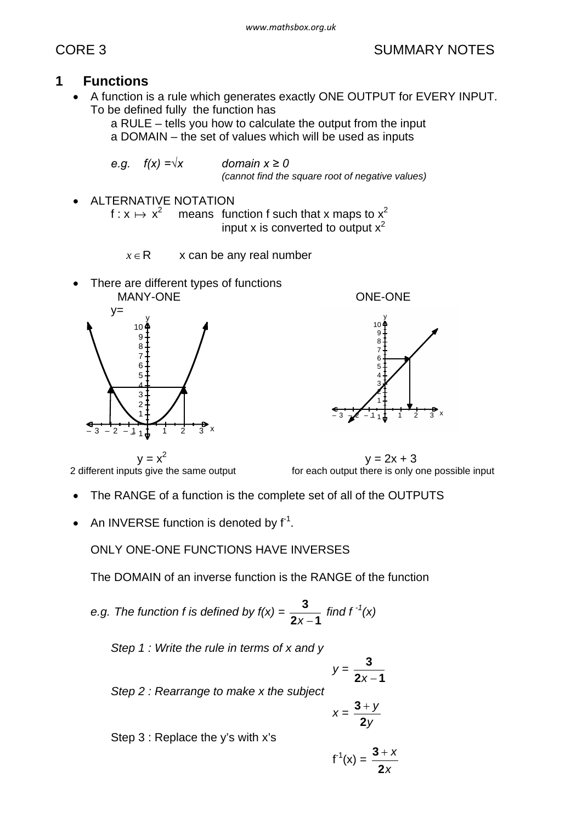# CORE 3 SUMMARY NOTES

# **1 Functions**

A function is a rule which generates exactly ONE OUTPUT for EVERY INPUT. To be defined fully the function has

a RULE – tells you how to calculate the output from the input a DOMAIN – the set of values which will be used as inputs

e.g. 
$$
f(x) = \sqrt{x}
$$
 domain  $x \ge 0$   
(cannot find the square root of negative values)

ALTERNATIVE NOTATION

f :  $x \mapsto x^2$  means function f such that x maps to  $x^2$ input x is converted to output  $x^2$ 

 $x \in \mathsf{R}$  x can be any real number

There are different types of functions MANY-ONE CONE CONE CONE





 $y = x^2$ <br>2 different inputs give the same output

 $y = 2x + 3$ for each output there is only one possible input

- · The RANGE of a function is the complete set of all of the OUTPUTS
- An INVERSE function is denoted by  $f<sup>-1</sup>$ .

ONLY ONE-ONE FUNCTIONS HAVE INVERSES

The DOMAIN of an inverse function is the RANGE of the function

e.g. The function f is defined by 
$$
f(x) = \frac{3}{2x-1}
$$
 find  $f^{-1}(x)$ 

*Step 1 : Write the rule in terms of x and y*

$$
y=\frac{3}{2x-1}
$$

*Step 2 : Rearrange to make x the subject*

$$
x=\frac{3+y}{2y}
$$

Step 3 : Replace the y's with x's

$$
f^1(x) = \frac{3+x}{2x}
$$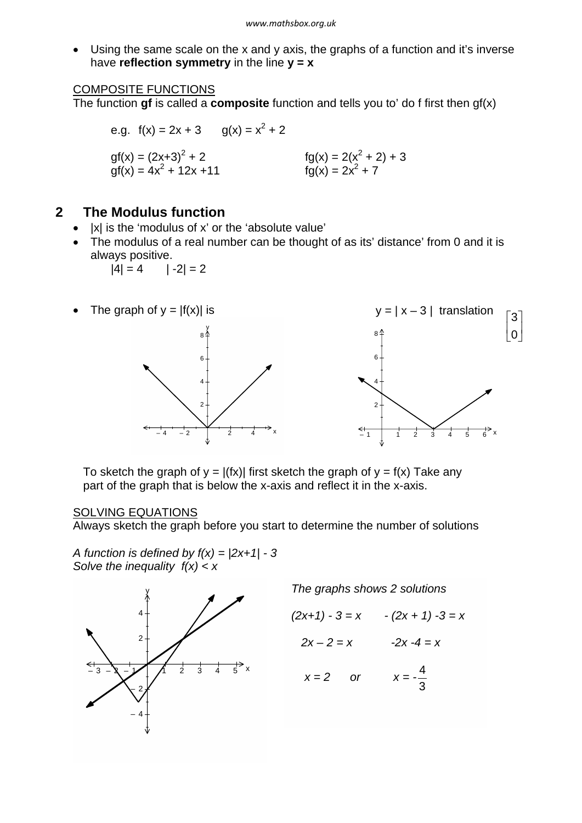· Using the same scale on the x and y axis, the graphs of a function and it's inverse have **reflection symmetry** in the line **y = x**

#### COMPOSITE FUNCTIONS

The function **gf** is called a **composite** function and tells you to' do f first then gf(x)

e.g. 
$$
f(x) = 2x + 3
$$
  $g(x) = x^2 + 2$   
\n $gf(x) = (2x+3)^2 + 2$   $fg(x) = 2(x^2 + 2) + 3$   
\n $gf(x) = 4x^2 + 12x + 11$   $fg(x) = 2x^2 + 7$ 

## **2 The Modulus function**

- · |x| is the 'modulus of x' or the 'absolute value'
- · The modulus of a real number can be thought of as its' distance' from 0 and it is always positive.

$$
|4| = 4 \qquad |-2| = 2
$$



To sketch the graph of  $y = |f(x)|$  first sketch the graph of  $y = f(x)$  Take any part of the graph that is below the x-axis and reflect it in the x-axis.

### SOLVING EQUATIONS

Always sketch the graph before you start to determine the number of solutions

*A function is defined by f(x) = |2x+1| - 3 Solve the inequality f(x) < x*



*The graphs shows 2 solutions*

$$
(2x+1) - 3 = x - (2x + 1) - 3 = x
$$

$$
2x - 2 = x \qquad \qquad -2x - 4 = x
$$

$$
x = 2 \qquad \text{or} \qquad \qquad x = -\frac{4}{3}
$$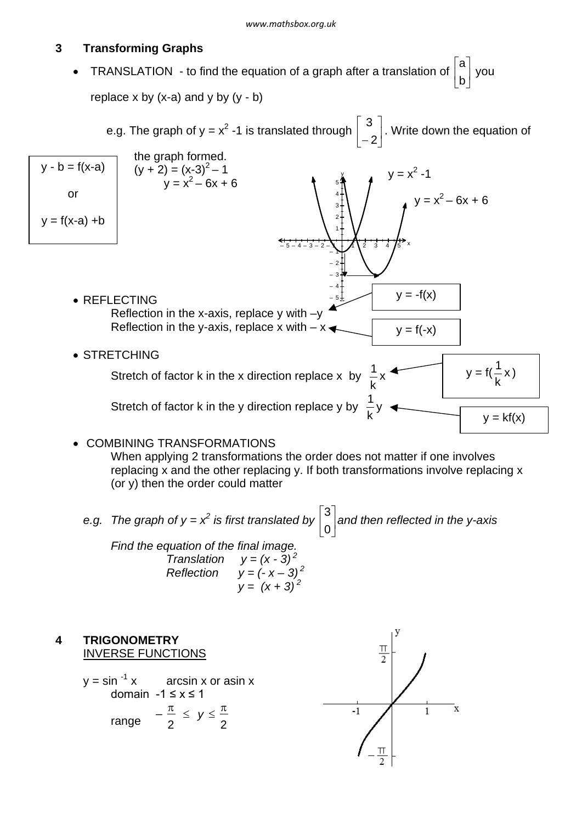#### $\overline{3}$ **Transforming Graphs**

**or** 

 $y = f(x-a) + b$ 

 $\overline{\mathbf{A}}$ 

TRANSLATION - to find the equation of a graph after a translation of  $\begin{bmatrix} a \\ b \end{bmatrix}$  you  $\bullet$ replace x by  $(x-a)$  and y by  $(y - b)$ 

e.g. The graph of y =  $x^2$  -1 is translated through  $\begin{bmatrix} 3 \\ -2 \end{bmatrix}$ . Write down the equation of the graph formed.  $y - b = f(x-a)$  $(y + 2) = (x-3)^2 - 1$ <br> $y = x^2 - 6x + 6$  $y = x^2 - 1$  $y = x^2 - 6x + 6$ 

 $V = -f(x)$ • REFLECTING Reflection in the x-axis, replace  $y$  with  $-y$ Reflection in the y-axis, replace x with  $-x \rightarrow$  $y = f(-x)$ • STRETCHING  $y = f(\frac{1}{k}x)$ Stretch of factor k in the x direction replace x by  $\frac{1}{k}x$ 

Stretch of factor k in the y direction replace y by  $\frac{1}{k}$ y

• COMBINING TRANSFORMATIONS

When applying 2 transformations the order does not matter if one involves replacing x and the other replacing y. If both transformations involve replacing x (or y) then the order could matter

 $y = kf(x)$ 

e.g. The graph of 
$$
y = x^2
$$
 is first translated by  $\begin{bmatrix} 3 \\ 0 \end{bmatrix}$  and then reflected in the y-axis  
Find the equation of the final image.  
Translation  $y = (x - 3)^2$   
Reflection  $y = (-x - 3)^2$   
 $y = (x + 3)^2$ 

**TRIGONOMETRY**  $\frac{\pi}{2}$ **INVERSE FUNCTIONS**  $v = \sin^{-1} x$ arcsin x or asin x domain  $-1 \le x \le 1$ range  $-\frac{\pi}{2} \leq y \leq \frac{\pi}{2}$  $\bar{\mathbf{x}}$  $-1$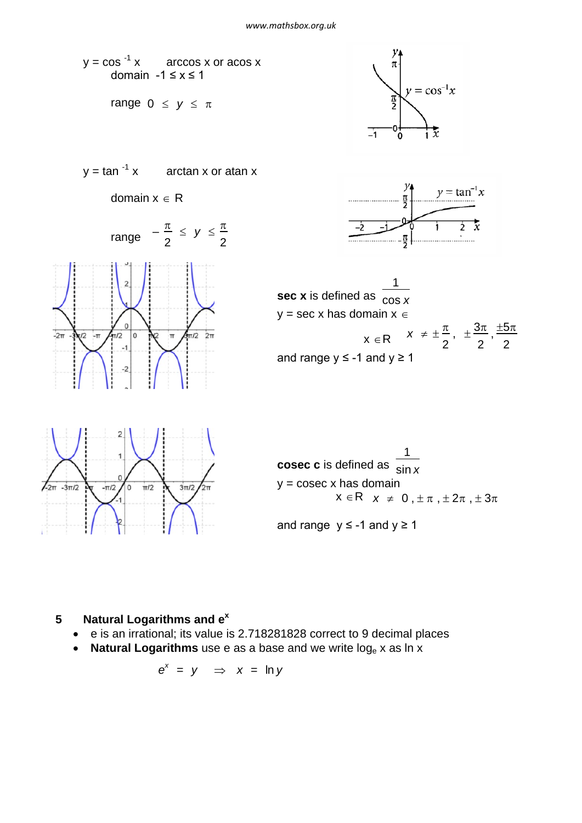

### **5 Natural Logarithms and e<sup>x</sup>**

- · e is an irrational; its value is 2.718281828 correct to 9 decimal places
- Natural Logarithms use e as a base and we write log<sub>e</sub> x as ln x

$$
e^x = y \Rightarrow x = \ln y
$$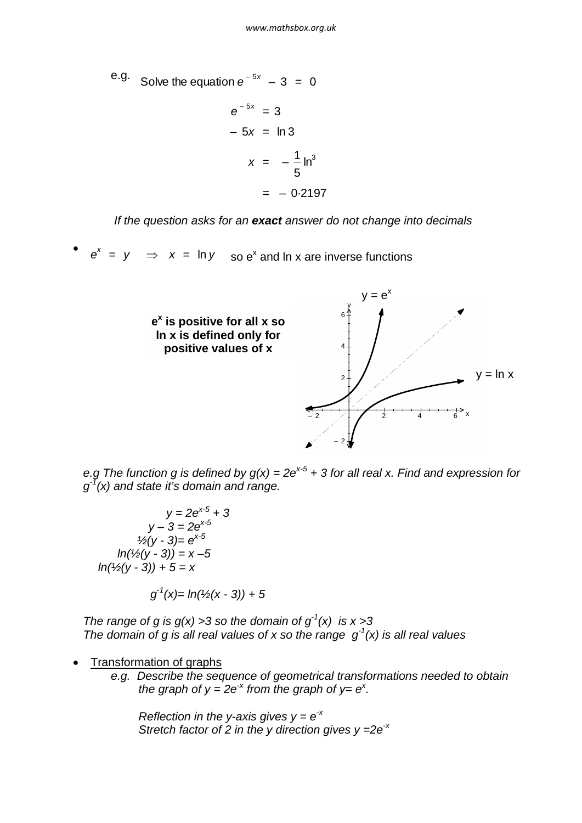e.g. Solve the equation  $e^{-5x} - 3 = 0$ 

$$
e^{-5x} = 3
$$
  

$$
-5x = \ln 3
$$
  

$$
x = -\frac{1}{5}\ln^3
$$
  

$$
= -0.2197
$$

*If the question asks for an exact answer do not change into decimals*

·  $e^x = y$   $\Rightarrow$   $x = \ln y$  so  $e^x$  and ln x are inverse functions



*e.g The function g is defined by g(x) = 2ex-5 + 3 for all real x. Find and expression for*  $g^{\bar{1}}(x)$  and state it's domain and range.

*y = 2ex-5 + 3*  $y - 3 = 2e^{x-5}$  $\frac{y_2}{y_2 - 3} = e^{x-5}$  $ln(½(y - 3)) = x - 5$ *ln(½(y - 3)) + 5 = x*

*g -1(x)= ln(½(x - 3)) + 5*

*The range of g is g(x) > 3 so the domain of g<sup>-1</sup>(x) is x > 3 The domain of g is all real values of x so the range*  $g^1(x)$  *is all real values* 

- Transformation of graphs
	- *e.g. Describe the sequence of geometrical transformations needed to obtain the graph of y = 2e<sup>* $\times$ *</sup> from the graph of y= e<sup>* $\times$ *</sup>.*

*Reflection in the y-axis gives*  $y = e^{-x}$ *Stretch factor of 2 in the y direction gives y =2e-x*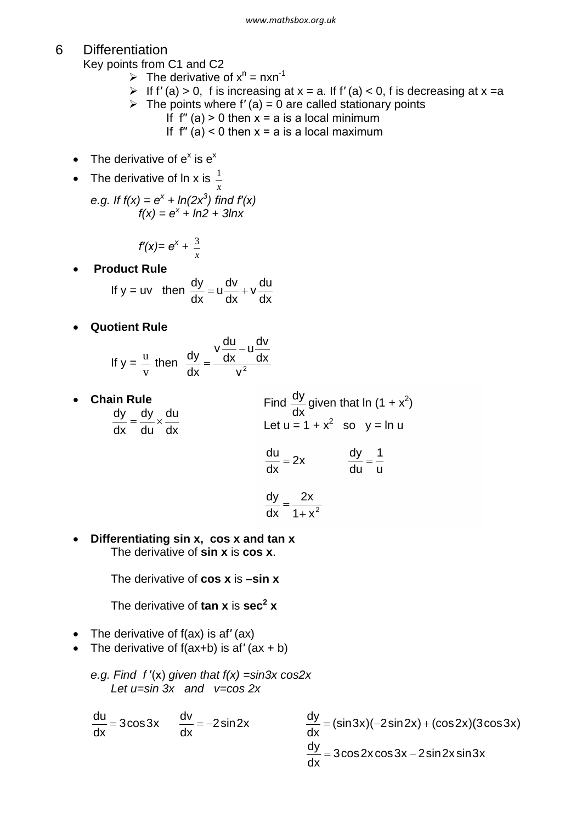### 6 Differentiation

Key points from C1 and C2

- $\triangleright$  The derivative of  $x^n = nxn^{-1}$
- ÿ If f*′* (a) > 0, f is increasing at x = a. If f*′* (a) < 0, f is decreasing at x =a
- $\triangleright$  The points where f'(a) = 0 are called stationary points
	- If  $f''(a) > 0$  then  $x = a$  is a local minimum
	- If  $f''(a) < 0$  then  $x = a$  is a local maximum
- The derivative of  $e^x$  is  $e^x$
- The derivative of  $ln x$  is  $\frac{1}{x}$

*e.g. If*  $f(x) = e^x + ln(2x^3)$  find  $f'(x)$  $f(x) = e^x + ln2 + 3lnx$ 

$$
f'(x) = e^x + \frac{3}{x}
$$

· **Product Rule**

If y = uv then 
$$
\frac{dy}{dx} = u \frac{dv}{dx} + v \frac{du}{dx}
$$

· **Quotient Rule**

If 
$$
y = \frac{u}{v}
$$
 then  $\frac{dy}{dx} = \frac{v \frac{du}{dx} - u \frac{dv}{dx}}{v^2}$ 

· **Chain Rule** dx du du dy dx  $\frac{dy}{dx} = \frac{dy}{dx} \times$ Find  $\frac{dy}{dx}$  given that ln (1 + x<sup>2</sup>) Let  $u = 1 + x^2$  so  $y = \ln u$ u 1 du 2x  $\frac{dy}{dx}$  = dx  $\frac{du}{dt} =$ dx

$$
\frac{dy}{dx} = \frac{2x}{1+x^2}
$$

· **Differentiating sin x, cos x and tan x** The derivative of **sin x** is **cos x**.

The derivative of **cos x** is **–sin x**

The derivative of **tan x** is **sec<sup>2</sup> x**

- · The derivative of f(ax) is af*′* (ax)
- · The derivative of f(ax+b) is af*′* (ax + b)

e.g. Find 
$$
f'(x)
$$
 given that  $f(x) = \frac{\sin 3x \cos 2x}{\ln 3x}$  let  $u = \sin 3x$  and  $v = \cos 2x$ 

$$
\frac{du}{dx} = 3\cos 3x \qquad \frac{dv}{dx} = -2\sin 2x \qquad \qquad \frac{dy}{dx} = (\sin 3x)(-2\sin 2x) + (\cos 2x)(3\cos 3x)
$$

$$
\frac{dy}{dx} = 3\cos 2x \cos 3x - 2\sin 2x \sin 3x
$$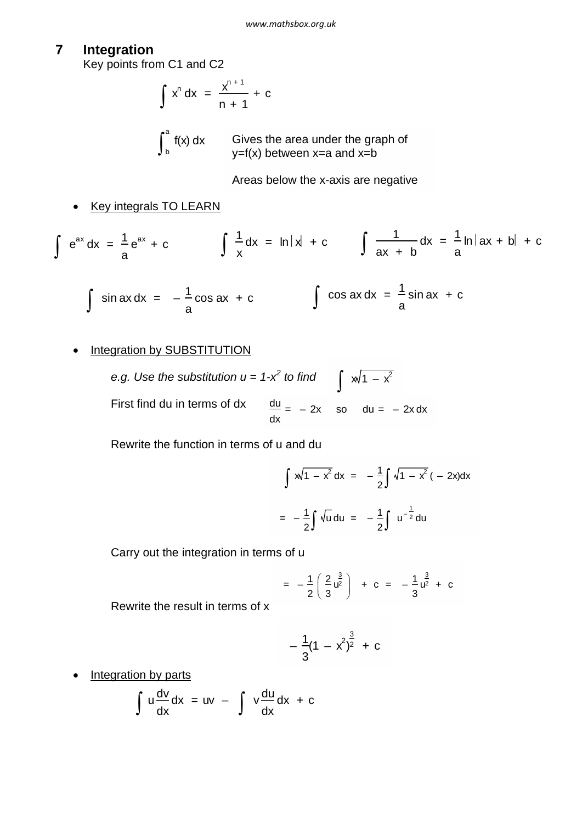#### $\overline{7}$ Integration

Key points from C1 and C2

$$
\int x^n dx = \frac{x^{n+1}}{n+1} + c
$$

 $\int_{b}^{a} f(x) dx$  Gives the area under the graph of  $y=f(x)$  between x=a and x=b

Areas below the x-axis are negative

**Key integrals TO LEARN** 

$$
\int e^{ax} dx = \frac{1}{a} e^{ax} + c \qquad \int \frac{1}{x} dx = \ln|x| + c \qquad \int \frac{1}{ax + b} dx = \frac{1}{a} \ln|ax + b| + c
$$

$$
\int \sin ax \, dx = -\frac{1}{a} \cos ax + c
$$
\n
$$
\int \cos ax \, dx = \frac{1}{a} \sin ax + c
$$

### • Integration by SUBSTITUTION

e.g. Use the substitution  $u = 1-x^2$  to find  $\int \sqrt{1-x^2}$ <br>First find du in terms of dx  $\frac{du}{dx} = -2x$  so  $du = -2x dx$ 

Rewrite the function in terms of u and du

$$
\int x\sqrt{1 - x^2} dx = -\frac{1}{2} \int \sqrt{1 - x^2} (-2x) dx
$$

$$
= -\frac{1}{2} \int \sqrt{u} du = -\frac{1}{2} \int u^{-\frac{1}{2}} du
$$

Carry out the integration in terms of u

$$
= -\frac{1}{2} \left( \frac{2}{3} \frac{a^{3}}{a^{2}} \right) + c = -\frac{1}{3} \frac{a^{3}}{a^{2}} + c
$$

Rewrite the result in terms of x

$$
-\frac{1}{3}(1-x^2)^{\frac{3}{2}}+c
$$

Integration by parts  $\bullet$ 

$$
\int u \frac{dv}{dx} dx = uv - \int v \frac{du}{dx} dx + c
$$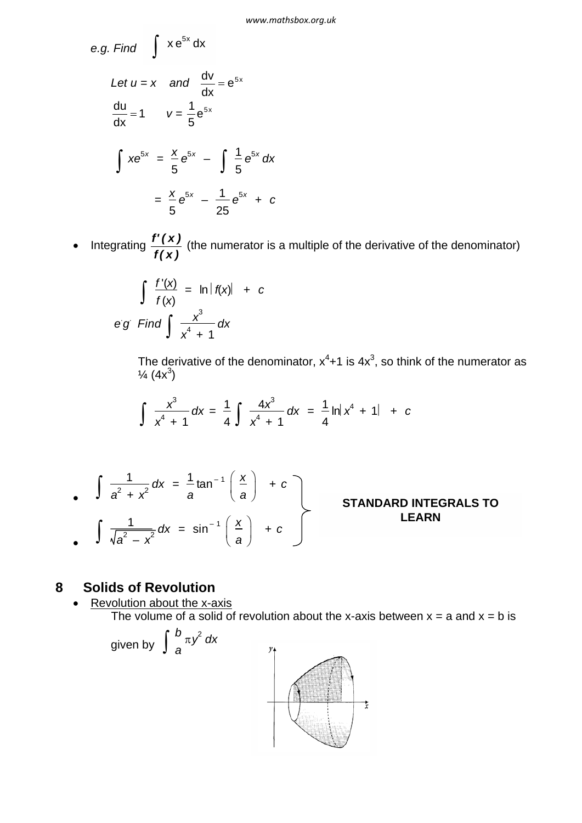e.g. Find 
$$
\int xe^{5x} dx
$$
  
\nLet  $u = x$  and  $\frac{dv}{dx} = e^{5x}$   
\n
$$
\frac{du}{dx} = 1 \qquad v = \frac{1}{5}e^{5x}
$$
\n
$$
\int xe^{5x} = \frac{x}{5}e^{5x} - \int \frac{1}{5}e^{5x} dx
$$
\n
$$
= \frac{x}{5}e^{5x} - \frac{1}{25}e^{5x} + c
$$

Integrating  $\frac{f'(x)}{f(x)}$  (the numerator is a multiple of the derivative of the denominator)  $\bullet$ 

$$
\int \frac{f'(x)}{f(x)} = \ln |f(x)| + c
$$
  
eg Find 
$$
\int \frac{x^3}{x^4 + 1} dx
$$

The derivative of the denominator,  $x^4 + 1$  is  $4x^3$ , so think of the numerator as  $\frac{1}{4}$  (4x<sup>3</sup>)

$$
\int \frac{x^3}{x^4 + 1} dx = \frac{1}{4} \int \frac{4x^3}{x^4 + 1} dx = \frac{1}{4} \ln|x^4 + 1| + c
$$

$$
\int \frac{1}{a^2 + x^2} dx = \frac{1}{a} \tan^{-1} \left( \frac{x}{a} \right) + c
$$
  
\nSTANDARD INTEGRALS TO  
\n
$$
\int \frac{1}{\sqrt{a^2 - x^2}} dx = \sin^{-1} \left( \frac{x}{a} \right) + c
$$
  
\nSTANDARD INTEGRALS TO LEARN

#### **Solids of Revolution** 8

 $\bullet$ 

Revolution about the x-axis<br>The volume of a solid of revolution about the x-axis between  $x = a$  and  $x = b$  is

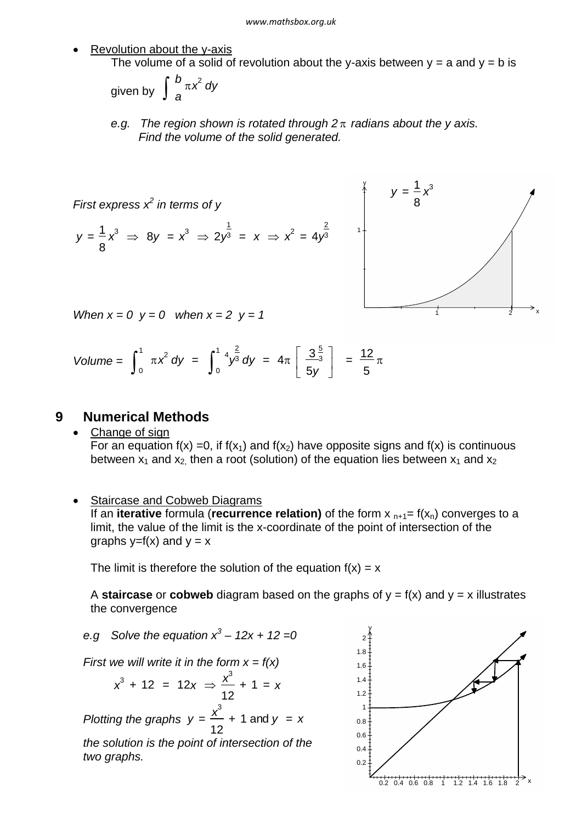#### *www.mathsbox.org.uk*

Revolution about the y-axis

The volume of a solid of revolution about the y-axis between  $y = a$  and  $y = b$  is

given by 
$$
\int_{a}^{b} \pi x^2 dy
$$

*e.g.* The region shown is rotated through  $2\pi$  radians about the y axis. *Find the volume of the solid generated.*

First express 
$$
x^2
$$
 in terms of y  
\n $y = \frac{1}{8}x^3 \implies 8y = x^3 \implies 2y^{\frac{1}{3}} = x \implies x^2 = 4y^{\frac{2}{3}}$ 



*When*  $x = 0$   $y = 0$  *when*  $x = 2$   $y = 1$ 

Volume = 
$$
\int_0^1 \pi x^2 dy = \int_0^1 \frac{4y^2}{y^3} dy = 4\pi \left[ \frac{3\frac{5}{3}}{5y} \right] = \frac{12}{5}\pi
$$

#### **9 Numerical Methods**

· Change of sign For an equation  $f(x) = 0$ , if  $f(x_1)$  and  $f(x_2)$  have opposite signs and  $f(x)$  is continuous between  $x_1$  and  $x_2$ , then a root (solution) of the equation lies between  $x_1$  and  $x_2$ 

#### · Staircase and Cobweb Diagrams

If an **iterative** formula (**recurrence relation**) of the form  $x_{n+1} = f(x_n)$  converges to a limit, the value of the limit is the x-coordinate of the point of intersection of the graphs  $v=f(x)$  and  $v = x$ 

The limit is therefore the solution of the equation  $f(x) = x$ 

A **staircase** or **cobweb** diagram based on the graphs of  $y = f(x)$  and  $y = x$  illustrates the convergence

e.g Solve the equation 
$$
x^3 - 12x + 12 = 0
$$

*First we will write it in the form x = f(x)*

$$
x^3 + 12 = 12x \Rightarrow \frac{x^3}{12} + 1 = x
$$

*Plotting the graphs*  $y = \frac{x^3}{x^2}$ 12 + 1 and *y* = *x*

*the solution is the point of intersection of the two graphs.*